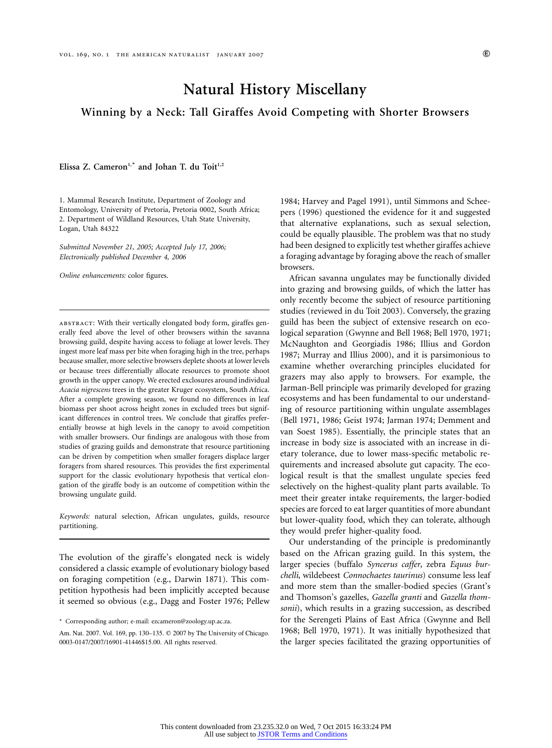# **Natural History Miscellany**

**Winning by a Neck: Tall Giraffes Avoid Competing with Shorter Browsers**

Elissa Z. Cameron<sup>1,\*</sup> and Johan T. du Toit<sup>1,2</sup>

1. Mammal Research Institute, Department of Zoology and Entomology, University of Pretoria, Pretoria 0002, South Africa; 2. Department of Wildland Resources, Utah State University, Logan, Utah 84322

*Submitted November 21, 2005; Accepted July 17, 2006; Electronically published December 4, 2006*

*Online enhancements:* color figures.

abstract: With their vertically elongated body form, giraffes generally feed above the level of other browsers within the savanna browsing guild, despite having access to foliage at lower levels. They ingest more leaf mass per bite when foraging high in the tree, perhaps because smaller, more selective browsers deplete shoots at lower levels or because trees differentially allocate resources to promote shoot growth in the upper canopy. We erected exclosures around individual *Acacia nigrescens* trees in the greater Kruger ecosystem, South Africa. After a complete growing season, we found no differences in leaf biomass per shoot across height zones in excluded trees but significant differences in control trees. We conclude that giraffes preferentially browse at high levels in the canopy to avoid competition with smaller browsers. Our findings are analogous with those from studies of grazing guilds and demonstrate that resource partitioning can be driven by competition when smaller foragers displace larger foragers from shared resources. This provides the first experimental support for the classic evolutionary hypothesis that vertical elongation of the giraffe body is an outcome of competition within the browsing ungulate guild.

*Keywords:* natural selection, African ungulates, guilds, resource partitioning.

The evolution of the giraffe's elongated neck is widely considered a classic example of evolutionary biology based on foraging competition (e.g., Darwin 1871). This competition hypothesis had been implicitly accepted because it seemed so obvious (e.g., Dagg and Foster 1976; Pellew

1984; Harvey and Pagel 1991), until Simmons and Scheepers (1996) questioned the evidence for it and suggested that alternative explanations, such as sexual selection, could be equally plausible. The problem was that no study had been designed to explicitly test whether giraffes achieve a foraging advantage by foraging above the reach of smaller browsers.

African savanna ungulates may be functionally divided into grazing and browsing guilds, of which the latter has only recently become the subject of resource partitioning studies (reviewed in du Toit 2003). Conversely, the grazing guild has been the subject of extensive research on ecological separation (Gwynne and Bell 1968; Bell 1970, 1971; McNaughton and Georgiadis 1986; Illius and Gordon 1987; Murray and Illius 2000), and it is parsimonious to examine whether overarching principles elucidated for grazers may also apply to browsers. For example, the Jarman-Bell principle was primarily developed for grazing ecosystems and has been fundamental to our understanding of resource partitioning within ungulate assemblages (Bell 1971, 1986; Geist 1974; Jarman 1974; Demment and van Soest 1985). Essentially, the principle states that an increase in body size is associated with an increase in dietary tolerance, due to lower mass-specific metabolic requirements and increased absolute gut capacity. The ecological result is that the smallest ungulate species feed selectively on the highest-quality plant parts available. To meet their greater intake requirements, the larger-bodied species are forced to eat larger quantities of more abundant but lower-quality food, which they can tolerate, although they would prefer higher-quality food.

Our understanding of the principle is predominantly based on the African grazing guild. In this system, the larger species (buffalo *Syncerus caffer*, zebra *Equus burchelli*, wildebeest *Connochaetes taurinus*) consume less leaf and more stem than the smaller-bodied species (Grant's and Thomson's gazelles, *Gazella granti* and *Gazella thomsonii*), which results in a grazing succession, as described for the Serengeti Plains of East Africa (Gwynne and Bell 1968; Bell 1970, 1971). It was initially hypothesized that the larger species facilitated the grazing opportunities of

<sup>\*</sup> Corresponding author; e-mail: ezcameron@zoology.up.ac.za.

Am. Nat. 2007. Vol. 169, pp. 130-135. © 2007 by The University of Chicago. 0003-0147/2007/16901-41446\$15.00. All rights reserved.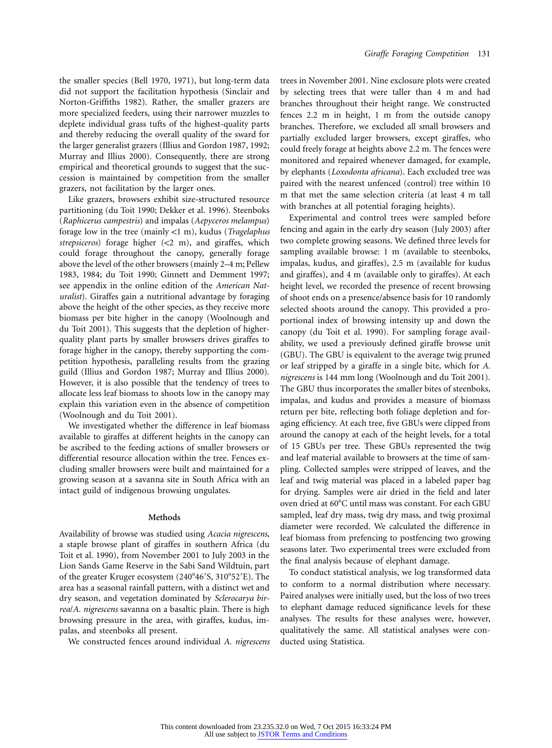the smaller species (Bell 1970, 1971), but long-term data did not support the facilitation hypothesis (Sinclair and Norton-Griffiths 1982). Rather, the smaller grazers are more specialized feeders, using their narrower muzzles to deplete individual grass tufts of the highest-quality parts and thereby reducing the overall quality of the sward for the larger generalist grazers (Illius and Gordon 1987, 1992; Murray and Illius 2000). Consequently, there are strong empirical and theoretical grounds to suggest that the succession is maintained by competition from the smaller grazers, not facilitation by the larger ones.

Like grazers, browsers exhibit size-structured resource partitioning (du Toit 1990; Dekker et al. 1996). Steenboks (*Raphicerus campestris*) and impalas (*Aepyceros melampus*) forage low in the tree (mainly !1 m), kudus (*Tragelaphus* strepsiceros) forage higher (<2 m), and giraffes, which could forage throughout the canopy, generally forage above the level of the other browsers (mainly 2–4 m; Pellew 1983, 1984; du Toit 1990; Ginnett and Demment 1997; see appendix in the online edition of the *American Naturalist*). Giraffes gain a nutritional advantage by foraging above the height of the other species, as they receive more biomass per bite higher in the canopy (Woolnough and du Toit 2001). This suggests that the depletion of higherquality plant parts by smaller browsers drives giraffes to forage higher in the canopy, thereby supporting the competition hypothesis, paralleling results from the grazing guild (Illius and Gordon 1987; Murray and Illius 2000). However, it is also possible that the tendency of trees to allocate less leaf biomass to shoots low in the canopy may explain this variation even in the absence of competition (Woolnough and du Toit 2001).

We investigated whether the difference in leaf biomass available to giraffes at different heights in the canopy can be ascribed to the feeding actions of smaller browsers or differential resource allocation within the tree. Fences excluding smaller browsers were built and maintained for a growing season at a savanna site in South Africa with an intact guild of indigenous browsing ungulates.

#### **Methods**

Availability of browse was studied using *Acacia nigrescens*, a staple browse plant of giraffes in southern Africa (du Toit et al. 1990), from November 2001 to July 2003 in the Lion Sands Game Reserve in the Sabi Sand Wildtuin, part of the greater Kruger ecosystem (240°46'S, 310°52'E). The area has a seasonal rainfall pattern, with a distinct wet and dry season, and vegetation dominated by *Sclerocarya birrea*/*A. nigrescens* savanna on a basaltic plain. There is high browsing pressure in the area, with giraffes, kudus, impalas, and steenboks all present.

We constructed fences around individual *A. nigrescens*

trees in November 2001. Nine exclosure plots were created by selecting trees that were taller than 4 m and had branches throughout their height range. We constructed fences 2.2 m in height, 1 m from the outside canopy branches. Therefore, we excluded all small browsers and partially excluded larger browsers, except giraffes, who could freely forage at heights above 2.2 m. The fences were monitored and repaired whenever damaged, for example, by elephants (*Loxodonta africana*). Each excluded tree was paired with the nearest unfenced (control) tree within 10 m that met the same selection criteria (at least 4 m tall with branches at all potential foraging heights).

Experimental and control trees were sampled before fencing and again in the early dry season (July 2003) after two complete growing seasons. We defined three levels for sampling available browse: 1 m (available to steenboks, impalas, kudus, and giraffes), 2.5 m (available for kudus and giraffes), and 4 m (available only to giraffes). At each height level, we recorded the presence of recent browsing of shoot ends on a presence/absence basis for 10 randomly selected shoots around the canopy. This provided a proportional index of browsing intensity up and down the canopy (du Toit et al. 1990). For sampling forage availability, we used a previously defined giraffe browse unit (GBU). The GBU is equivalent to the average twig pruned or leaf stripped by a giraffe in a single bite, which for *A. nigrescens* is 144 mm long (Woolnough and du Toit 2001). The GBU thus incorporates the smaller bites of steenboks, impalas, and kudus and provides a measure of biomass return per bite, reflecting both foliage depletion and foraging efficiency. At each tree, five GBUs were clipped from around the canopy at each of the height levels, for a total of 15 GBUs per tree. These GBUs represented the twig and leaf material available to browsers at the time of sampling. Collected samples were stripped of leaves, and the leaf and twig material was placed in a labeled paper bag for drying. Samples were air dried in the field and later oven dried at 60°C until mass was constant. For each GBU sampled, leaf dry mass, twig dry mass, and twig proximal diameter were recorded. We calculated the difference in leaf biomass from prefencing to postfencing two growing seasons later. Two experimental trees were excluded from the final analysis because of elephant damage.

To conduct statistical analysis, we log transformed data to conform to a normal distribution where necessary. Paired analyses were initially used, but the loss of two trees to elephant damage reduced significance levels for these analyses. The results for these analyses were, however, qualitatively the same. All statistical analyses were conducted using Statistica.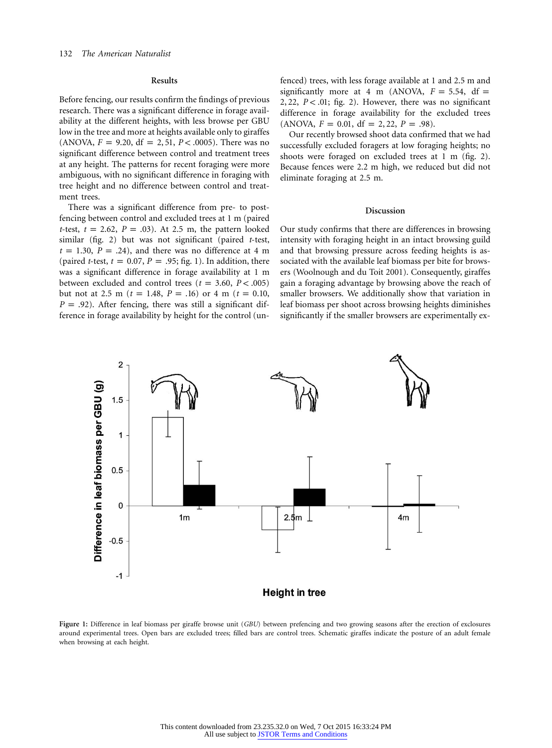## **Results**

Before fencing, our results confirm the findings of previous research. There was a significant difference in forage availability at the different heights, with less browse per GBU low in the tree and more at heights available only to giraffes (ANOVA,  $F = 9.20$ , df = 2, 51,  $P < .0005$ ). There was no significant difference between control and treatment trees at any height. The patterns for recent foraging were more ambiguous, with no significant difference in foraging with tree height and no difference between control and treatment trees.

There was a significant difference from pre- to postfencing between control and excluded trees at 1 m (paired *t*-test,  $t = 2.62$ ,  $P = .03$ . At 2.5 m, the pattern looked similar (fig. 2) but was not significant (paired *t*-test,  $t = 1.30, P = .24$ , and there was no difference at 4 m (paired *t*-test,  $t = 0.07$ ,  $P = .95$ ; fig. 1). In addition, there was a significant difference in forage availability at 1 m between excluded and control trees  $(t = 3.60, P < .005)$ but not at 2.5 m ( $t = 1.48$ ,  $P = .16$ ) or 4 m ( $t = 0.10$ ,  $P = .92$ ). After fencing, there was still a significant difference in forage availability by height for the control (unfenced) trees, with less forage available at 1 and 2.5 m and significantly more at 4 m (ANOVA,  $F = 5.54$ , df = 2, 22, P < .01; fig. 2). However, there was no significant difference in forage availability for the excluded trees  $(ANOVA, F = 0.01, df = 2, 22, P = .98).$ 

Our recently browsed shoot data confirmed that we had successfully excluded foragers at low foraging heights; no shoots were foraged on excluded trees at 1 m (fig. 2). Because fences were 2.2 m high, we reduced but did not eliminate foraging at 2.5 m.

## **Discussion**

Our study confirms that there are differences in browsing intensity with foraging height in an intact browsing guild and that browsing pressure across feeding heights is associated with the available leaf biomass per bite for browsers (Woolnough and du Toit 2001). Consequently, giraffes gain a foraging advantage by browsing above the reach of smaller browsers. We additionally show that variation in leaf biomass per shoot across browsing heights diminishes significantly if the smaller browsers are experimentally ex-



**Figure 1:** Difference in leaf biomass per giraffe browse unit (*GBU*) between prefencing and two growing seasons after the erection of exclosures around experimental trees. Open bars are excluded trees; filled bars are control trees. Schematic giraffes indicate the posture of an adult female when browsing at each height.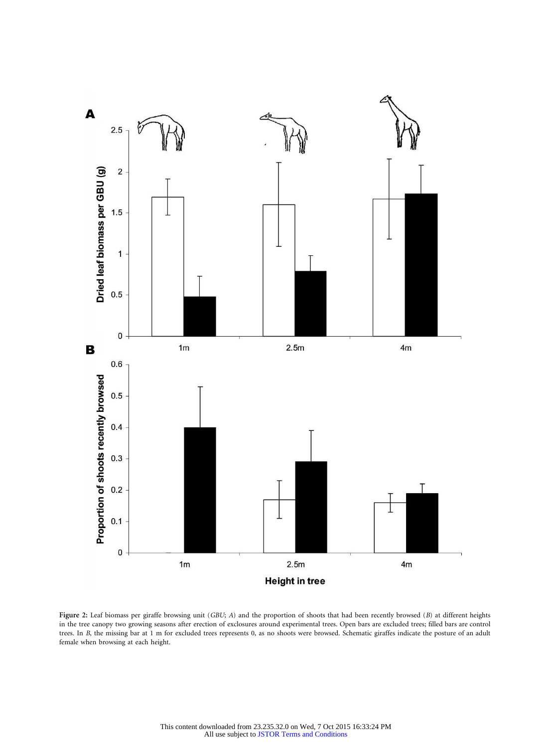

**Figure 2:** Leaf biomass per giraffe browsing unit (*GBU*; *A*) and the proportion of shoots that had been recently browsed (*B*) at different heights in the tree canopy two growing seasons after erection of exclosures around experimental trees. Open bars are excluded trees; filled bars are control trees. In *B*, the missing bar at 1 m for excluded trees represents 0, as no shoots were browsed. Schematic giraffes indicate the posture of an adult female when browsing at each height.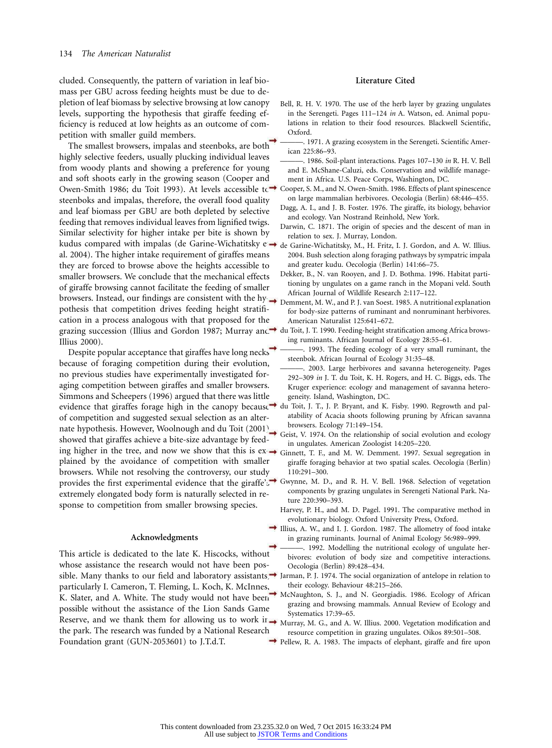cluded. Consequently, the pattern of variation in leaf biomass per GBU across feeding heights must be due to depletion of leaf biomass by selective browsing at low canopy levels, supporting the hypothesis that giraffe feeding efficiency is reduced at low heights as an outcome of competition with smaller guild members.

The smallest browsers, impalas and steenboks, are both highly selective feeders, usually plucking individual leaves from woody plants and showing a preference for young and soft shoots early in the growing season (Cooper and Owen-Smith 1986; du Toit 1993). At levels accessible t⇔ Cooper, S. M., and N. Owen-Smith. 1986. Effects of plant spinescence steenboks and impalas, therefore, the overall food quality and leaf biomass per GBU are both depleted by selective feeding that removes individual leaves from lignified twigs. Similar selectivity for higher intake per bite is shown by kudus compared with impalas (de Garine-Wichatitsky e → <sub>de Garine-Wichatitsky, M.,</sub> H. Fritz, I. J. Gordon, and A. W. Illius. al. 2004). The higher intake requirement of giraffes means they are forced to browse above the heights accessible to smaller browsers. We conclude that the mechanical effects of giraffe browsing cannot facilitate the feeding of smaller browsers. Instead, our findings are consistent with the hy  $\rightarrow$  Demment, M. W., and P. J. van Soest. 1985. A nutritional explanation pothesis that competition drives feeding height stratification in a process analogous with that proposed for the grazing succession (Illius and Gordon 1987; Murray and→ du Toit, J. T. 1990. Feeding-height stratification among Africa brows-Illius 2000).

Despite popular acceptance that giraffes have long necks because of foraging competition during their evolution, no previous studies have experimentally investigated foraging competition between giraffes and smaller browsers. Simmons and Scheepers (1996) argued that there was little evidence that giraffes forage high in the canopy because  $\rightarrow$  du Toit, J. T., J. P. Bryant, and K. Fisby. 1990. Regrowth and palof competition and suggested sexual selection as an alternate hypothesis. However, Woolnough and du Toit (2001) showed that giraffes achieve a bite-size advantage by feeding higher in the tree, and now we show that this is  $ex \rightarrow$  Ginnett, T. F., and M. W. Demment. 1997. Sexual segregation in plained by the avoidance of competition with smaller browsers. While not resolving the controversy, our study provides the first experimental evidence that the giraffe's<sup>3</sup> Gwynne, M. D., and R. H. V. Bell. 1968. Selection of vegetation extremely elongated body form is naturally selected in response to competition from smaller browsing species.

#### **Acknowledgments**

This article is dedicated to the late K. Hiscocks, without whose assistance the research would not have been possible. Many thanks to our field and laboratory assistants, Jarman, P. J. 1974. The social organization of antelope in relation to particularly I. Cameron, T. Fleming, L. Koch, K. McInnes, K. Slater, and A. White. The study would not have been possible without the assistance of the Lion Sands Game Reserve, and we thank them for allowing us to work in  $\rightarrow$  Murray, M. G., and A. W. Illius. 2000. Vegetation modification and the park. The research was funded by a National Research Foundation grant (GUN-2053601) to J.T.d.T.

## **Literature Cited**

- Bell, R. H. V. 1970. The use of the herb layer by grazing ungulates in the Serengeti. Pages 111–124 *in* A. Watson, ed. Animal populations in relation to their food resources. Blackwell Scientific, Oxford.
- 1971. A grazing ecosystem in the Serengeti. Scientific American 225:86–93.
- ———. 1986. Soil-plant interactions. Pages 107–130 *in* R. H. V. Bell and E. McShane-Caluzi, eds. Conservation and wildlife management in Africa. U.S. Peace Corps, Washington, DC.
- on large mammalian herbivores. Oecologia (Berlin) 68:446–455.
- Dagg, A. I., and J. B. Foster. 1976. The giraffe, its biology, behavior and ecology. Van Nostrand Reinhold, New York.
- Darwin, C. 1871. The origin of species and the descent of man in relation to sex. J. Murray, London.
- 2004. Bush selection along foraging pathways by sympatric impala and greater kudu. Oecologia (Berlin) 141:66–75.
- Dekker, B., N. van Rooyen, and J. D. Bothma. 1996. Habitat partitioning by ungulates on a game ranch in the Mopani veld. South African Journal of Wildlife Research 2:117–122.
- for body-size patterns of ruminant and nonruminant herbivores. American Naturalist 125:641–672.
- ing ruminants. African Journal of Ecology 28:55–61.
- ———. 1993. The feeding ecology of a very small ruminant, the steenbok. African Journal of Ecology 31:35–48.
- 2003. Large herbivores and savanna heterogeneity. Pages 292–309 *in* J. T. du Toit, K. H. Rogers, and H. C. Biggs, eds. The Kruger experience: ecology and management of savanna heterogeneity. Island, Washington, DC.
- atability of Acacia shoots following pruning by African savanna browsers. Ecology 71:149–154.
- Geist, V. 1974. On the relationship of social evolution and ecology in ungulates. American Zoologist 14:205–220.
- giraffe foraging behavior at two spatial scales. Oecologia (Berlin) 110:291–300.
- components by grazing ungulates in Serengeti National Park. Nature 220:390–393.
- Harvey, P. H., and M. D. Pagel. 1991. The comparative method in evolutionary biology. Oxford University Press, Oxford.
- Illius, A. W., and I. J. Gordon. 1987. The allometry of food intake in grazing ruminants. Journal of Animal Ecology 56:989–999.
	- -. 1992. Modelling the nutritional ecology of ungulate herbivores: evolution of body size and competitive interactions. Oecologia (Berlin) 89:428–434.
	- their ecology. Behaviour 48:215–266.
	- McNaughton, S. J., and N. Georgiadis. 1986. Ecology of African grazing and browsing mammals. Annual Review of Ecology and Systematics 17:39–65.
	- resource competition in grazing ungulates. Oikos 89:501–508.
- Pellew, R. A. 1983. The impacts of elephant, giraffe and fire upon